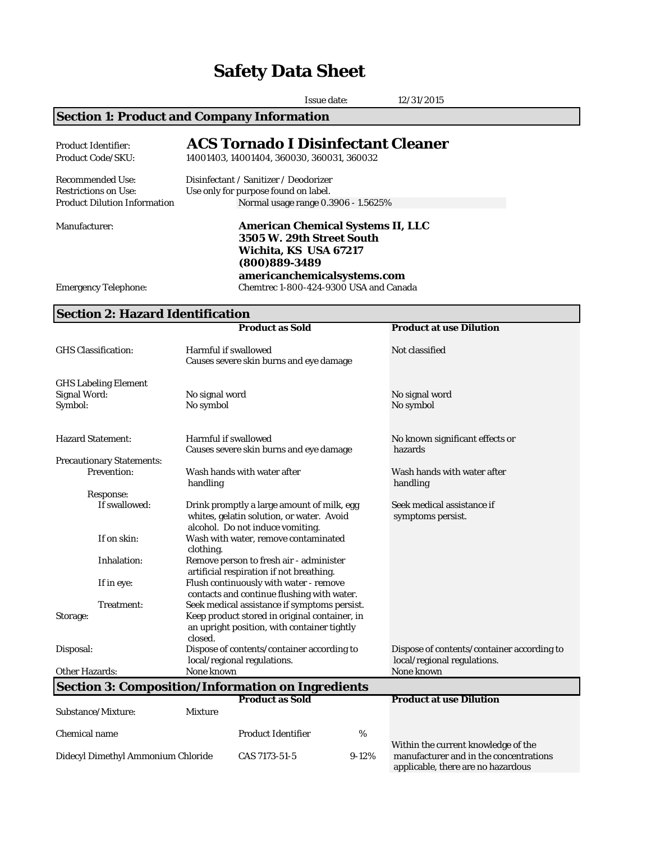# **Safety Data Sheet**

|                                                                                               | <b>Issue date:</b><br>12/31/2015                                                                                                               |  |  |
|-----------------------------------------------------------------------------------------------|------------------------------------------------------------------------------------------------------------------------------------------------|--|--|
| <b>Section 1: Product and Company Information</b>                                             |                                                                                                                                                |  |  |
| <b>Product Identifier:</b><br><b>Product Code/SKU:</b>                                        | <b>ACS Tornado I Disinfectant Cleaner</b><br>14001403, 14001404, 360030, 360031, 360032                                                        |  |  |
| <b>Recommended Use:</b><br><b>Restrictions on Use:</b><br><b>Product Dilution Information</b> | Disinfectant / Sanitizer / Deodorizer<br>Use only for purpose found on label.<br>Normal usage range 0.3906 - 1.5625%                           |  |  |
| Manufacturer:                                                                                 | <b>American Chemical Systems II, LLC</b><br>3505 W. 29th Street South<br>Wichita, KS USA 67217<br>(800)889-3489<br>americanchemicalsystems.com |  |  |
| <b>Emergency Telephone:</b>                                                                   | Chemtrec 1-800-424-9300 USA and Canada                                                                                                         |  |  |

# **Section 2: Hazard Identification**

|                                                          |                                                                                                         | <b>Product as Sold</b>                                                                                                      |                             | <b>Product at use Dilution</b>                                               |
|----------------------------------------------------------|---------------------------------------------------------------------------------------------------------|-----------------------------------------------------------------------------------------------------------------------------|-----------------------------|------------------------------------------------------------------------------|
| <b>GHS Classification:</b>                               | <b>Harmful if swallowed</b><br>Causes severe skin burns and eye damage                                  |                                                                                                                             |                             | Not classified                                                               |
| <b>GHS Labeling Element</b>                              |                                                                                                         |                                                                                                                             |                             |                                                                              |
| <b>Signal Word:</b>                                      | No signal word                                                                                          |                                                                                                                             |                             | No signal word                                                               |
| Symbol:                                                  | No symbol                                                                                               |                                                                                                                             |                             | No symbol                                                                    |
| <b>Hazard Statement:</b>                                 | <b>Harmful if swallowed</b>                                                                             |                                                                                                                             |                             | No known significant effects or                                              |
|                                                          |                                                                                                         | Causes severe skin burns and eye damage                                                                                     |                             | hazards                                                                      |
| <b>Precautionary Statements:</b>                         |                                                                                                         |                                                                                                                             |                             |                                                                              |
| <b>Prevention:</b>                                       | handling                                                                                                | Wash hands with water after                                                                                                 |                             | Wash hands with water after<br>handling                                      |
| <b>Response:</b>                                         |                                                                                                         |                                                                                                                             |                             |                                                                              |
| If swallowed:                                            |                                                                                                         | Drink promptly a large amount of milk, egg<br>whites, gelatin solution, or water. Avoid<br>alcohol. Do not induce vomiting. |                             | Seek medical assistance if<br>symptoms persist.                              |
| If on skin:                                              | clothing.                                                                                               | Wash with water, remove contaminated                                                                                        |                             |                                                                              |
| Inhalation:                                              |                                                                                                         | Remove person to fresh air - administer<br>artificial respiration if not breathing.                                         |                             |                                                                              |
| If in eye:                                               | Flush continuously with water - remove<br>contacts and continue flushing with water.                    |                                                                                                                             |                             |                                                                              |
| Treatment:                                               | Seek medical assistance if symptoms persist.                                                            |                                                                                                                             |                             |                                                                              |
| Storage:                                                 | Keep product stored in original container, in<br>an upright position, with container tightly<br>closed. |                                                                                                                             |                             |                                                                              |
| Disposal:                                                |                                                                                                         | Dispose of contents/container according to                                                                                  |                             | Dispose of contents/container according to                                   |
|                                                          | local/regional regulations.                                                                             |                                                                                                                             | local/regional regulations. |                                                                              |
| <b>Other Hazards:</b>                                    | None known                                                                                              |                                                                                                                             |                             | None known                                                                   |
| <b>Section 3: Composition/Information on Ingredients</b> |                                                                                                         |                                                                                                                             |                             |                                                                              |
|                                                          |                                                                                                         | <b>Product as Sold</b>                                                                                                      |                             | <b>Product at use Dilution</b>                                               |
| Substance/Mixture:                                       | <b>Mixture</b>                                                                                          |                                                                                                                             |                             |                                                                              |
| <b>Chemical name</b>                                     |                                                                                                         | <b>Product Identifier</b>                                                                                                   | %                           | Within the current knowledge of the                                          |
| Didecyl Dimethyl Ammonium Chloride                       |                                                                                                         | CAS 7173-51-5                                                                                                               | $9-12%$                     | manufacturer and in the concentrations<br>applicable, there are no hazardous |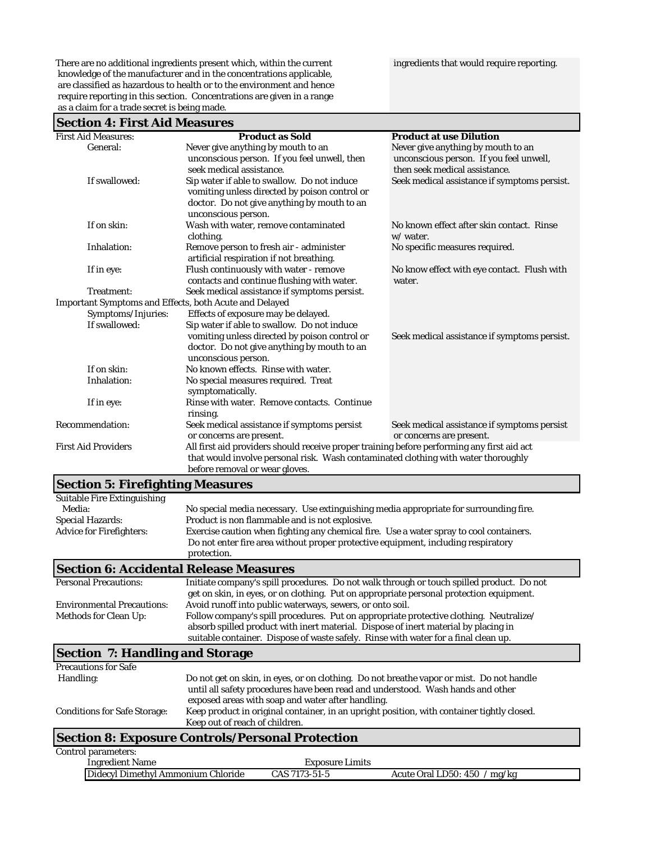There are no additional ingredients present which, within the current ingredients that would require reporting. knowledge of the manufacturer and in the concentrations applicable, are classified as hazardous to health or to the environment and hence require reporting in this section. Concentrations are given in a range as a claim for a trade secret is being made.

#### **Section 4: First Aid Measures**

| <b>Section 4. FIFSt Alu Measules</b>                          |                                                                                                                                                                                                                    |                                                                                                                |
|---------------------------------------------------------------|--------------------------------------------------------------------------------------------------------------------------------------------------------------------------------------------------------------------|----------------------------------------------------------------------------------------------------------------|
| <b>First Aid Measures:</b>                                    | <b>Product as Sold</b>                                                                                                                                                                                             | <b>Product at use Dilution</b>                                                                                 |
| General:                                                      | Never give anything by mouth to an<br>unconscious person. If you feel unwell, then<br>seek medical assistance.                                                                                                     | Never give anything by mouth to an<br>unconscious person. If you feel unwell,<br>then seek medical assistance. |
| If swallowed:                                                 | Sip water if able to swallow. Do not induce<br>vomiting unless directed by poison control or<br>doctor. Do not give anything by mouth to an<br>unconscious person.                                                 | Seek medical assistance if symptoms persist.                                                                   |
| If on skin:                                                   | Wash with water, remove contaminated<br>clothing.                                                                                                                                                                  | No known effect after skin contact. Rinse<br>w/ water.                                                         |
| Inhalation:                                                   | Remove person to fresh air - administer<br>artificial respiration if not breathing.                                                                                                                                | No specific measures required.                                                                                 |
| If in eye:                                                    | Flush continuously with water - remove<br>contacts and continue flushing with water.                                                                                                                               | No know effect with eye contact. Flush with<br>water.                                                          |
| Treatment:                                                    | Seek medical assistance if symptoms persist.                                                                                                                                                                       |                                                                                                                |
| <b>Important Symptoms and Effects, both Acute and Delayed</b> |                                                                                                                                                                                                                    |                                                                                                                |
| Symptoms/Injuries:                                            | Effects of exposure may be delayed.                                                                                                                                                                                |                                                                                                                |
| If swallowed:                                                 | Sip water if able to swallow. Do not induce                                                                                                                                                                        |                                                                                                                |
|                                                               | vomiting unless directed by poison control or<br>doctor. Do not give anything by mouth to an<br>unconscious person.                                                                                                | Seek medical assistance if symptoms persist.                                                                   |
| If on skin:                                                   | No known effects. Rinse with water.                                                                                                                                                                                |                                                                                                                |
| Inhalation:                                                   | No special measures required. Treat<br>symptomatically.                                                                                                                                                            |                                                                                                                |
| If in eye:                                                    | Rinse with water. Remove contacts. Continue<br>rinsing.                                                                                                                                                            |                                                                                                                |
| <b>Recommendation:</b>                                        | Seek medical assistance if symptoms persist<br>or concerns are present.                                                                                                                                            | Seek medical assistance if symptoms persist<br>or concerns are present.                                        |
| <b>First Aid Providers</b>                                    | All first aid providers should receive proper training before performing any first aid act<br>that would involve personal risk. Wash contaminated clothing with water thoroughly<br>before removal or wear gloves. |                                                                                                                |

#### **Section 5: Firefighting Measures**

| No special media necessary. Use extinguishing media appropriate for surrounding fire.   |  |  |
|-----------------------------------------------------------------------------------------|--|--|
| Product is non flammable and is not explosive.                                          |  |  |
| Exercise caution when fighting any chemical fire. Use a water spray to cool containers. |  |  |
| Do not enter fire area without proper protective equipment, including respiratory       |  |  |
| protection.                                                                             |  |  |
|                                                                                         |  |  |

### **Section 6: Accidental Release Measures**

| <b>Personal Precautions:</b>           | Initiate company's spill procedures. Do not walk through or touch spilled product. Do not  |  |  |
|----------------------------------------|--------------------------------------------------------------------------------------------|--|--|
|                                        | get on skin, in eyes, or on clothing. Put on appropriate personal protection equipment.    |  |  |
| <b>Environmental Precautions:</b>      | Avoid runoff into public waterways, sewers, or onto soil.                                  |  |  |
| <b>Methods for Clean Up:</b>           | Follow company's spill procedures. Put on appropriate protective clothing. Neutralize/     |  |  |
|                                        | absorb spilled product with inert material. Dispose of inert material by placing in        |  |  |
|                                        | suitable container. Dispose of waste safely. Rinse with water for a final clean up.        |  |  |
| <b>Section 7: Handling and Storage</b> |                                                                                            |  |  |
| <b>Precautions for Safe</b>            |                                                                                            |  |  |
| Handling:                              | Do not get on skin, in eyes, or on clothing. Do not breathe vapor or mist. Do not handle   |  |  |
|                                        | until all safety procedures have been read and understood. Wash hands and other            |  |  |
|                                        | exposed areas with soap and water after handling.                                          |  |  |
| <b>Conditions for Safe Storage:</b>    | Keep product in original container, in an upright position, with container tightly closed. |  |  |
|                                        | Keep out of reach of children.                                                             |  |  |
|                                        |                                                                                            |  |  |

#### **Section 8: Exposure Controls/Personal Protection**

Control parameters:

| <b>Ingredient Name</b>             | <b>Exposure Limits</b> |                                |
|------------------------------------|------------------------|--------------------------------|
| Didecyl Dimethyl Ammonium Chloride | CAS 7173-51-5          | Acute Oral LD50: $450 / mg/kg$ |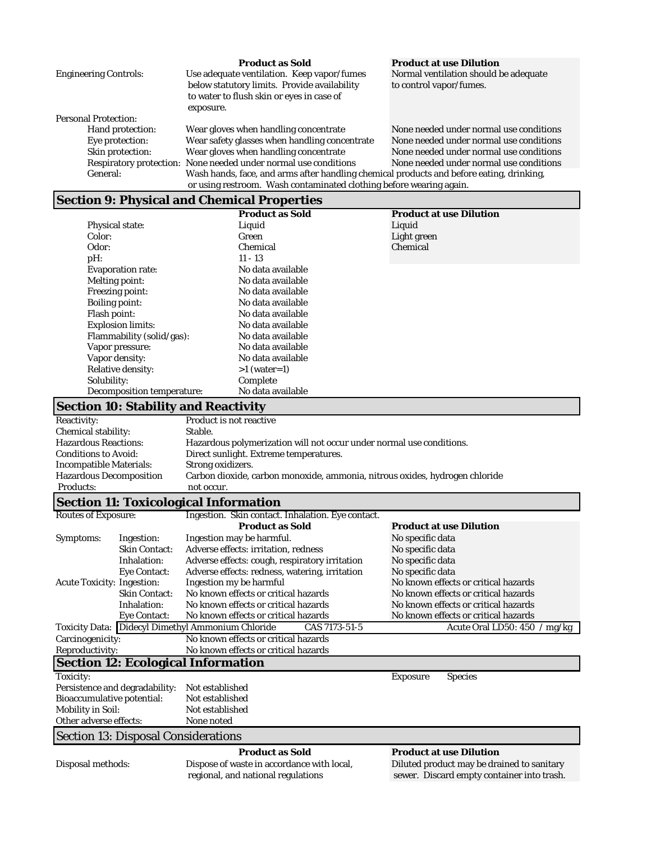|                              | <b>Product as Sold</b>                                                                   | <b>Product at use Dilution</b>          |
|------------------------------|------------------------------------------------------------------------------------------|-----------------------------------------|
| <b>Engineering Controls:</b> | Use adequate ventilation. Keep vapor/fumes                                               | Normal ventilation should be adequate   |
|                              | below statutory limits. Provide availability                                             | to control vapor/fumes.                 |
|                              | to water to flush skin or eyes in case of                                                |                                         |
|                              | exposure.                                                                                |                                         |
| <b>Personal Protection:</b>  |                                                                                          |                                         |
| Hand protection:             | Wear gloves when handling concentrate                                                    | None needed under normal use conditions |
| Eye protection:              | Wear safety glasses when handling concentrate                                            | None needed under normal use conditions |
| Skin protection:             | Wear gloves when handling concentrate                                                    | None needed under normal use conditions |
|                              | Respiratory protection: None needed under normal use conditions                          | None needed under normal use conditions |
| General:                     | Wash hands, face, and arms after handling chemical products and before eating, drinking, |                                         |
|                              | or using restroom. Wash contaminated clothing before wearing again.                      |                                         |

# **Section 9: Physical and Chemical Properties**

| $\boldsymbol{\omega}$             |                        |                                |
|-----------------------------------|------------------------|--------------------------------|
|                                   | <b>Product as Sold</b> | <b>Product at use Dilution</b> |
| <b>Physical state:</b>            | Liquid                 | Liquid                         |
| Color:                            | Green                  | Light green                    |
| Odor:                             | Chemical               | Chemical                       |
| pH:                               | $11 - 13$              |                                |
| <b>Evaporation rate:</b>          | No data available      |                                |
| <b>Melting point:</b>             | No data available      |                                |
| <b>Freezing point:</b>            | No data available      |                                |
| <b>Boiling point:</b>             | No data available      |                                |
| Flash point:                      | No data available      |                                |
| <b>Explosion limits:</b>          | No data available      |                                |
| Flammability (solid/gas):         | No data available      |                                |
| Vapor pressure:                   | No data available      |                                |
| Vapor density:                    | No data available      |                                |
| <b>Relative density:</b>          | $>1$ (water=1)         |                                |
| Solubility:                       | Complete               |                                |
| <b>Decomposition temperature:</b> | No data available      |                                |

# **Section 10: Stability and Reactivity**

| <b>Reactivity:</b>             | <b>Product is not reactive</b>                                              |
|--------------------------------|-----------------------------------------------------------------------------|
| <b>Chemical stability:</b>     | Stable.                                                                     |
| <b>Hazardous Reactions:</b>    | Hazardous polymerization will not occur under normal use conditions.        |
| <b>Conditions to Avoid:</b>    | Direct sunlight. Extreme temperatures.                                      |
| <b>Incompatible Materials:</b> | Strong oxidizers.                                                           |
| <b>Hazardous Decomposition</b> | Carbon dioxide, carbon monoxide, ammonia, nitrous oxides, hydrogen chloride |
| <b>Products:</b>               | not occur.                                                                  |
|                                |                                                                             |

# **Section 11: Toxicological Information**

| <b>Routes of Exposure:</b>        |                                            | Ingestion. Skin contact. Inhalation. Eye contact.                         |                                            |
|-----------------------------------|--------------------------------------------|---------------------------------------------------------------------------|--------------------------------------------|
|                                   |                                            | <b>Product as Sold</b>                                                    | <b>Product at use Dilution</b>             |
| Symptoms:                         | Ingestion:                                 | Ingestion may be harmful.                                                 | No specific data                           |
|                                   | <b>Skin Contact:</b>                       | Adverse effects: irritation, redness                                      | No specific data                           |
|                                   | Inhalation:                                | Adverse effects: cough, respiratory irritation                            | No specific data                           |
|                                   | <b>Eye Contact:</b>                        | Adverse effects: redness, watering, irritation                            | No specific data                           |
| <b>Acute Toxicity: Ingestion:</b> |                                            | Ingestion my be harmful                                                   | No known effects or critical hazards       |
|                                   | <b>Skin Contact:</b>                       | No known effects or critical hazards                                      | No known effects or critical hazards       |
|                                   | Inhalation:                                | No known effects or critical hazards                                      | No known effects or critical hazards       |
|                                   | <b>Eye Contact:</b>                        | No known effects or critical hazards                                      | No known effects or critical hazards       |
|                                   |                                            | <b>Toxicity Data: Didecyl Dimethyl Ammonium Chloride</b><br>CAS 7173-51-5 | Acute Oral LD50: 450 / mg/kg               |
| Carcinogenicity:                  |                                            | No known effects or critical hazards                                      |                                            |
| Reproductivity:                   |                                            | No known effects or critical hazards                                      |                                            |
|                                   |                                            | <b>Section 12: Ecological Information</b>                                 |                                            |
| Toxicity:                         |                                            |                                                                           | <b>Exposure</b><br><b>Species</b>          |
|                                   | Persistence and degradability:             | Not established                                                           |                                            |
| <b>Bioaccumulative potential:</b> |                                            | Not established                                                           |                                            |
| <b>Mobility in Soil:</b>          |                                            | Not established                                                           |                                            |
| Other adverse effects:            |                                            | None noted                                                                |                                            |
|                                   | <b>Section 13: Disposal Considerations</b> |                                                                           |                                            |
|                                   |                                            | <b>Product as Sold</b>                                                    | <b>Product at use Dilution</b>             |
| Disposal methods:                 |                                            | Dispose of waste in accordance with local,                                | Diluted product may be drained to sanitary |
|                                   |                                            | regional, and national regulations                                        | sewer. Discard empty container into trash. |
|                                   |                                            |                                                                           |                                            |